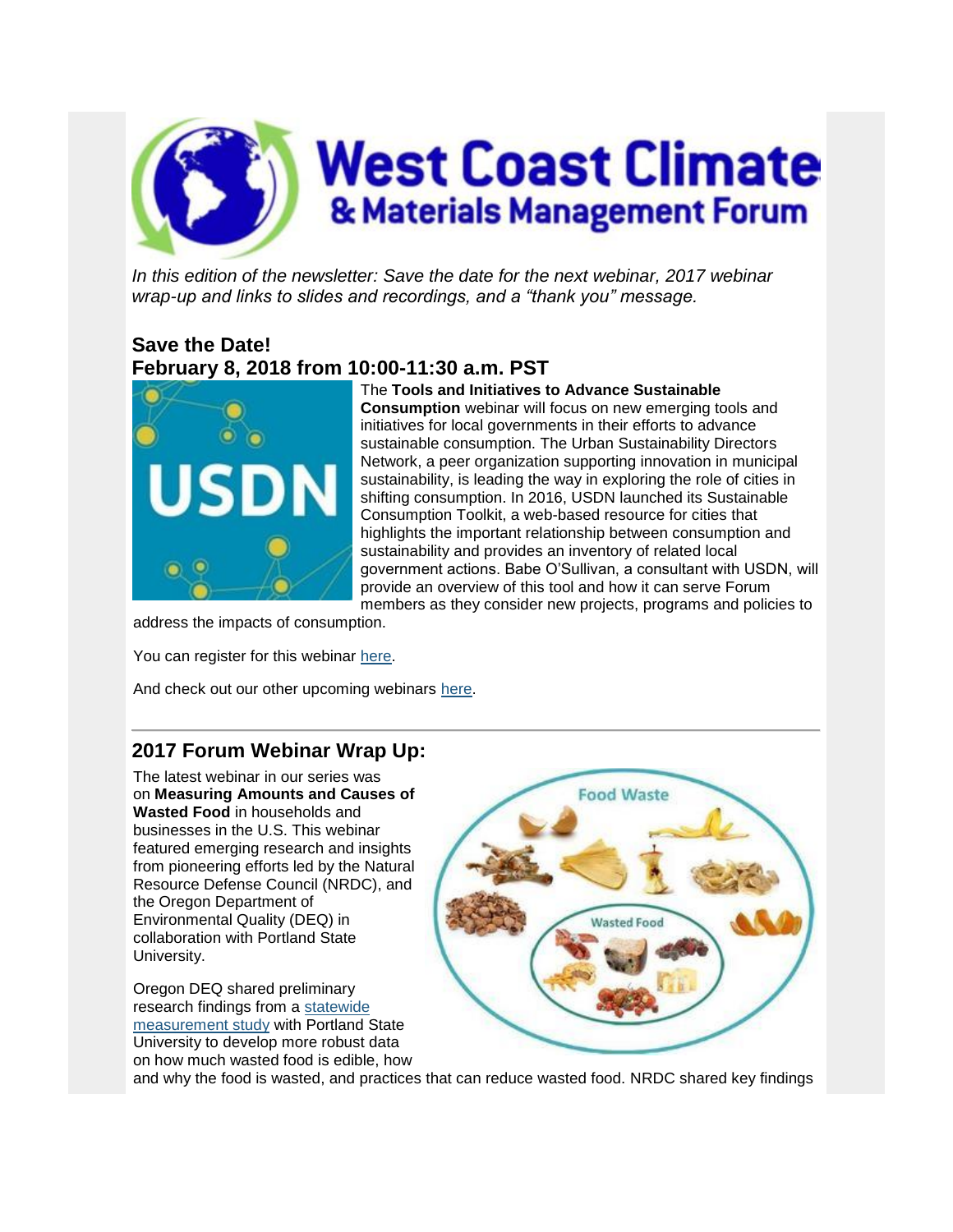

In this edition of the newsletter: Save the date for the next webinar, 2017 webinar *wrap-up and links to slides and recordings, and a "thank you" message.*

## **Save the Date! February 8, 2018 from 10:00-11:30 a.m. PST**



The **Tools and Initiatives to Advance Sustainable Consumption** webinar will focus on new emerging tools and initiatives for local governments in their efforts to advance sustainable consumption. The Urban Sustainability Directors Network, a peer organization supporting innovation in municipal sustainability, is leading the way in exploring the role of cities in shifting consumption. In 2016, USDN launched its Sustainable Consumption Toolkit, a web-based resource for cities that highlights the important relationship between consumption and sustainability and provides an inventory of related local government actions. Babe O'Sullivan, a consultant with USDN, will provide an overview of this tool and how it can serve Forum members as they consider new projects, programs and policies to

address the impacts of consumption.

You can register for this webinar [here.](http://links.govdelivery.com/track?type=click&enid=ZWFzPTEmbXNpZD0mYXVpZD0mbWFpbGluZ2lkPTIwMTcxMjA4LjgyMTc1NDgxJm1lc3NhZ2VpZD1NREItUFJELUJVTC0yMDE3MTIwOC44MjE3NTQ4MSZkYXRhYmFzZWlkPTEwMDEmc2VyaWFsPTE2OTcxMTk4JmVtYWlsaWQ9YmVzaGsuc2ViYXN0aWFuQGVwYS5nb3YmdXNlcmlkPWJlc2hrLnNlYmFzdGlhbkBlcGEuZ292JnRhcmdldGlkPSZmbD0mZXh0cmE9TXVsdGl2YXJpYXRlSWQ9JiYm&&&100&&&https://attendee.gotowebinar.com/register/4384127081097199873)

And check out our other upcoming webinars [here.](http://links.govdelivery.com/track?type=click&enid=ZWFzPTEmbXNpZD0mYXVpZD0mbWFpbGluZ2lkPTIwMTcxMjA4LjgyMTc1NDgxJm1lc3NhZ2VpZD1NREItUFJELUJVTC0yMDE3MTIwOC44MjE3NTQ4MSZkYXRhYmFzZWlkPTEwMDEmc2VyaWFsPTE2OTcxMTk4JmVtYWlsaWQ9YmVzaGsuc2ViYXN0aWFuQGVwYS5nb3YmdXNlcmlkPWJlc2hrLnNlYmFzdGlhbkBlcGEuZ292JnRhcmdldGlkPSZmbD0mZXh0cmE9TXVsdGl2YXJpYXRlSWQ9JiYm&&&101&&&https://westcoastclimateforum.com/resources/webinars/upcoming)

## **2017 Forum Webinar Wrap Up:**

The latest webinar in our series was on **Measuring Amounts and Causes of Wasted Food** in households and businesses in the U.S. This webinar featured emerging research and insights from pioneering efforts led by the Natural Resource Defense Council (NRDC), and the Oregon Department of Environmental Quality (DEQ) in collaboration with Portland State University.

Oregon DEQ shared preliminary research findings from a [statewide](http://links.govdelivery.com/track?type=click&enid=ZWFzPTEmbXNpZD0mYXVpZD0mbWFpbGluZ2lkPTIwMTcxMjA4LjgyMTc1NDgxJm1lc3NhZ2VpZD1NREItUFJELUJVTC0yMDE3MTIwOC44MjE3NTQ4MSZkYXRhYmFzZWlkPTEwMDEmc2VyaWFsPTE2OTcxMTk4JmVtYWlsaWQ9YmVzaGsuc2ViYXN0aWFuQGVwYS5nb3YmdXNlcmlkPWJlc2hrLnNlYmFzdGlhbkBlcGEuZ292JnRhcmdldGlkPSZmbD0mZXh0cmE9TXVsdGl2YXJpYXRlSWQ9JiYm&&&102&&&http://www.oregon.gov/deq/mm/food/Pages/Wasted-Food-Study.aspx)  [measurement study](http://links.govdelivery.com/track?type=click&enid=ZWFzPTEmbXNpZD0mYXVpZD0mbWFpbGluZ2lkPTIwMTcxMjA4LjgyMTc1NDgxJm1lc3NhZ2VpZD1NREItUFJELUJVTC0yMDE3MTIwOC44MjE3NTQ4MSZkYXRhYmFzZWlkPTEwMDEmc2VyaWFsPTE2OTcxMTk4JmVtYWlsaWQ9YmVzaGsuc2ViYXN0aWFuQGVwYS5nb3YmdXNlcmlkPWJlc2hrLnNlYmFzdGlhbkBlcGEuZ292JnRhcmdldGlkPSZmbD0mZXh0cmE9TXVsdGl2YXJpYXRlSWQ9JiYm&&&102&&&http://www.oregon.gov/deq/mm/food/Pages/Wasted-Food-Study.aspx) with Portland State University to develop more robust data on how much wasted food is edible, how



and why the food is wasted, and practices that can reduce wasted food. NRDC shared key findings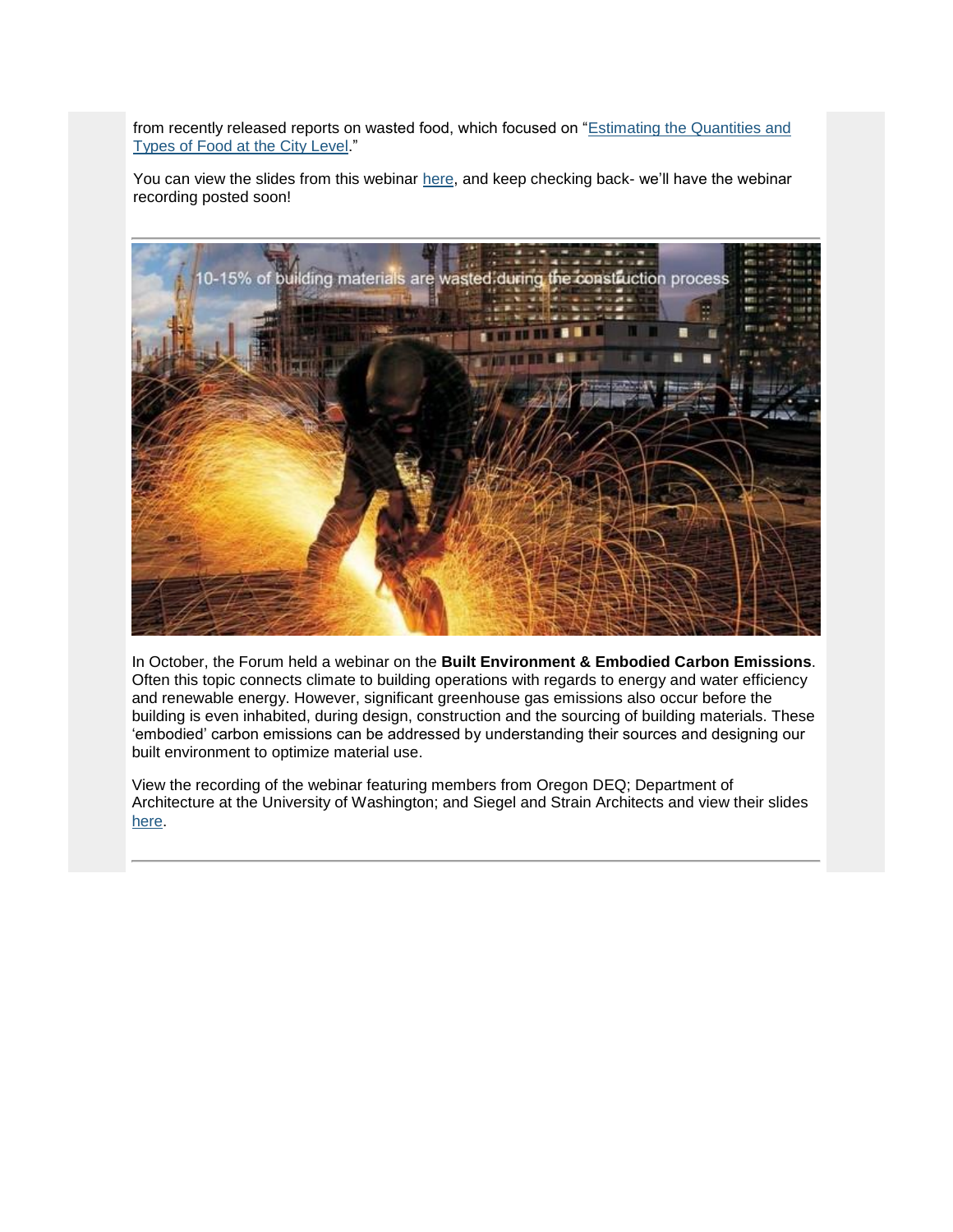from recently released reports on wasted food, which focused on ["Estimating the Quantities and](http://links.govdelivery.com/track?type=click&enid=ZWFzPTEmbXNpZD0mYXVpZD0mbWFpbGluZ2lkPTIwMTcxMjA4LjgyMTc1NDgxJm1lc3NhZ2VpZD1NREItUFJELUJVTC0yMDE3MTIwOC44MjE3NTQ4MSZkYXRhYmFzZWlkPTEwMDEmc2VyaWFsPTE2OTcxMTk4JmVtYWlsaWQ9YmVzaGsuc2ViYXN0aWFuQGVwYS5nb3YmdXNlcmlkPWJlc2hrLnNlYmFzdGlhbkBlcGEuZ292JnRhcmdldGlkPSZmbD0mZXh0cmE9TXVsdGl2YXJpYXRlSWQ9JiYm&&&103&&&https://www.nrdc.org/resources/food-matters-what-we-waste-and-how-we-can-expand-amount-food-we-rescue#sec-cs)  [Types of Food at the City Level.](http://links.govdelivery.com/track?type=click&enid=ZWFzPTEmbXNpZD0mYXVpZD0mbWFpbGluZ2lkPTIwMTcxMjA4LjgyMTc1NDgxJm1lc3NhZ2VpZD1NREItUFJELUJVTC0yMDE3MTIwOC44MjE3NTQ4MSZkYXRhYmFzZWlkPTEwMDEmc2VyaWFsPTE2OTcxMTk4JmVtYWlsaWQ9YmVzaGsuc2ViYXN0aWFuQGVwYS5nb3YmdXNlcmlkPWJlc2hrLnNlYmFzdGlhbkBlcGEuZ292JnRhcmdldGlkPSZmbD0mZXh0cmE9TXVsdGl2YXJpYXRlSWQ9JiYm&&&103&&&https://www.nrdc.org/resources/food-matters-what-we-waste-and-how-we-can-expand-amount-food-we-rescue#sec-cs)"

You can view the slides from this webinar [here,](http://links.govdelivery.com/track?type=click&enid=ZWFzPTEmbXNpZD0mYXVpZD0mbWFpbGluZ2lkPTIwMTcxMjA4LjgyMTc1NDgxJm1lc3NhZ2VpZD1NREItUFJELUJVTC0yMDE3MTIwOC44MjE3NTQ4MSZkYXRhYmFzZWlkPTEwMDEmc2VyaWFsPTE2OTcxMTk4JmVtYWlsaWQ9YmVzaGsuc2ViYXN0aWFuQGVwYS5nb3YmdXNlcmlkPWJlc2hrLnNlYmFzdGlhbkBlcGEuZ292JnRhcmdldGlkPSZmbD0mZXh0cmE9TXVsdGl2YXJpYXRlSWQ9JiYm&&&104&&&https://westcoastclimateforum.com/resources/webinars/upcoming) and keep checking back- we'll have the webinar recording posted soon!



In October, the Forum held a webinar on the **Built Environment & Embodied Carbon Emissions**. Often this topic connects climate to building operations with regards to energy and water efficiency and renewable energy. However, significant greenhouse gas emissions also occur before the building is even inhabited, during design, construction and the sourcing of building materials. These 'embodied' carbon emissions can be addressed by understanding their sources and designing our built environment to optimize material use.

View the recording of the webinar featuring members from Oregon DEQ; Department of Architecture at the University of Washington; and Siegel and Strain Architects and view their slides [here.](http://links.govdelivery.com/track?type=click&enid=ZWFzPTEmbXNpZD0mYXVpZD0mbWFpbGluZ2lkPTIwMTcxMjA4LjgyMTc1NDgxJm1lc3NhZ2VpZD1NREItUFJELUJVTC0yMDE3MTIwOC44MjE3NTQ4MSZkYXRhYmFzZWlkPTEwMDEmc2VyaWFsPTE2OTcxMTk4JmVtYWlsaWQ9YmVzaGsuc2ViYXN0aWFuQGVwYS5nb3YmdXNlcmlkPWJlc2hrLnNlYmFzdGlhbkBlcGEuZ292JnRhcmdldGlkPSZmbD0mZXh0cmE9TXVsdGl2YXJpYXRlSWQ9JiYm&&&105&&&https://westcoastclimateforum.com/resources/webinars/upcoming)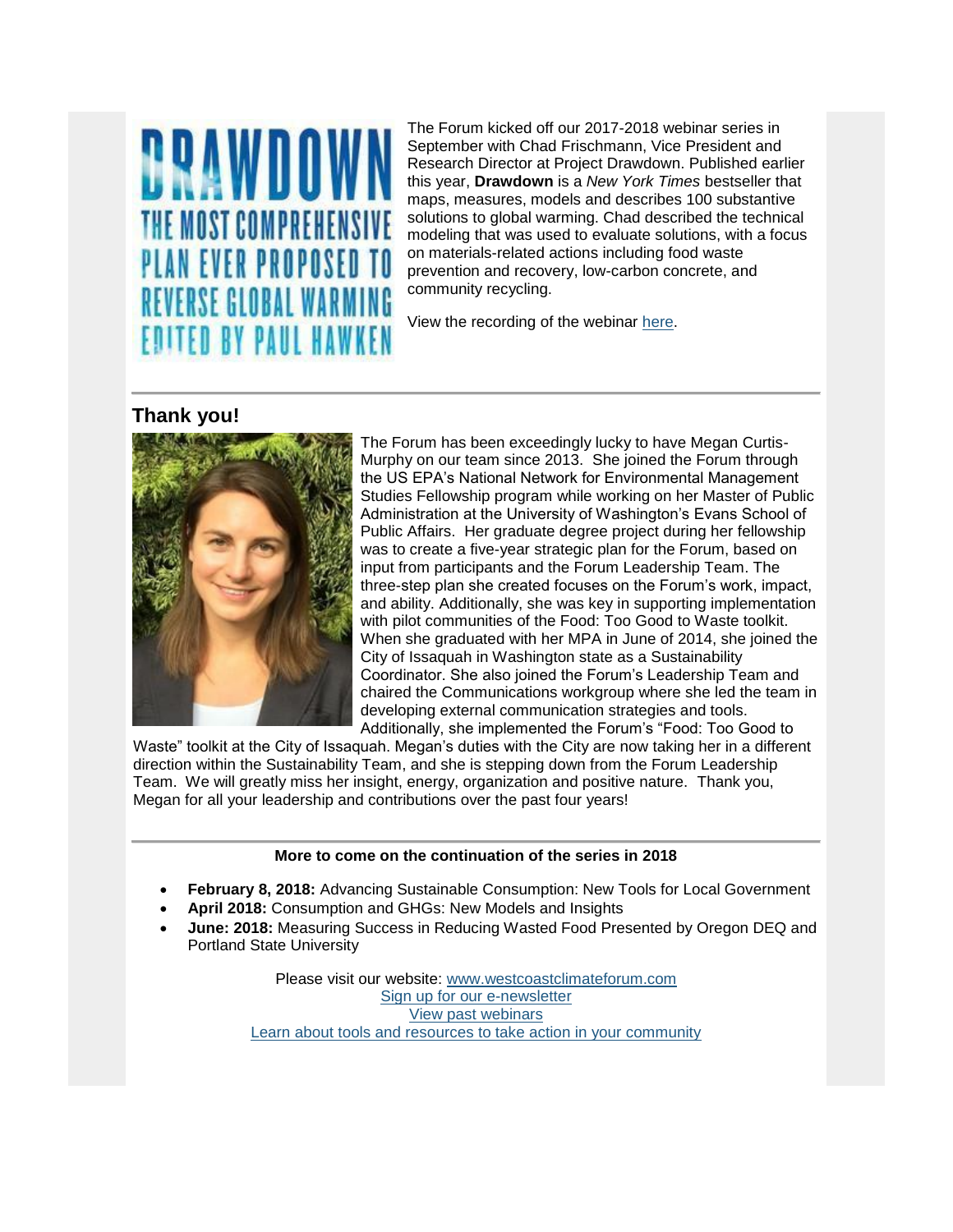

The Forum kicked off our 2017-2018 webinar series in September with Chad Frischmann, Vice President and Research Director at Project Drawdown. Published earlier this year, **Drawdown** is a *New York Times* bestseller that maps, measures, models and describes 100 substantive solutions to global warming. Chad described the technical modeling that was used to evaluate solutions, with a focus on materials-related actions including food waste prevention and recovery, low-carbon concrete, and community recycling.

View the recording of the webinar [here.](http://links.govdelivery.com/track?type=click&enid=ZWFzPTEmbXNpZD0mYXVpZD0mbWFpbGluZ2lkPTIwMTcxMjA4LjgyMTc1NDgxJm1lc3NhZ2VpZD1NREItUFJELUJVTC0yMDE3MTIwOC44MjE3NTQ4MSZkYXRhYmFzZWlkPTEwMDEmc2VyaWFsPTE2OTcxMTk4JmVtYWlsaWQ9YmVzaGsuc2ViYXN0aWFuQGVwYS5nb3YmdXNlcmlkPWJlc2hrLnNlYmFzdGlhbkBlcGEuZ292JnRhcmdldGlkPSZmbD0mZXh0cmE9TXVsdGl2YXJpYXRlSWQ9JiYm&&&106&&&https://westcoastclimateforum.com/resources/webinars/upcoming)

## **Thank you!**



The Forum has been exceedingly lucky to have Megan Curtis-Murphy on our team since 2013. She joined the Forum through the US EPA's National Network for Environmental Management Studies Fellowship program while working on her Master of Public Administration at the University of Washington's Evans School of Public Affairs. Her graduate degree project during her fellowship was to create a five-year strategic plan for the Forum, based on input from participants and the Forum Leadership Team. The three-step plan she created focuses on the Forum's work, impact, and ability. Additionally, she was key in supporting implementation with pilot communities of the Food: Too Good to Waste toolkit. When she graduated with her MPA in June of 2014, she joined the City of Issaquah in Washington state as a Sustainability Coordinator. She also joined the Forum's Leadership Team and chaired the Communications workgroup where she led the team in developing external communication strategies and tools. Additionally, she implemented the Forum's "Food: Too Good to

Waste" toolkit at the City of Issaquah. Megan's duties with the City are now taking her in a different direction within the Sustainability Team, and she is stepping down from the Forum Leadership Team. We will greatly miss her insight, energy, organization and positive nature. Thank you, Megan for all your leadership and contributions over the past four years!

## **More to come on the continuation of the series in 2018**

- **February 8, 2018:** Advancing Sustainable Consumption: New Tools for Local Government
- **April 2018:** Consumption and GHGs: New Models and Insights
- **June: 2018:** Measuring Success in Reducing Wasted Food Presented by Oregon DEQ and Portland State University

Please visit our website: [www.westcoastclimateforum.com](http://links.govdelivery.com/track?type=click&enid=ZWFzPTEmbXNpZD0mYXVpZD0mbWFpbGluZ2lkPTIwMTcxMjA4LjgyMTc1NDgxJm1lc3NhZ2VpZD1NREItUFJELUJVTC0yMDE3MTIwOC44MjE3NTQ4MSZkYXRhYmFzZWlkPTEwMDEmc2VyaWFsPTE2OTcxMTk4JmVtYWlsaWQ9YmVzaGsuc2ViYXN0aWFuQGVwYS5nb3YmdXNlcmlkPWJlc2hrLnNlYmFzdGlhbkBlcGEuZ292JnRhcmdldGlkPSZmbD0mZXh0cmE9TXVsdGl2YXJpYXRlSWQ9JiYm&&&107&&&https://lnks.gd/l/eyJhbGciOiJIUzI1NiJ9.eyJlbWFpbCI6ImJsYWluZS50aGVyZXNhQGVwYS5nb3YiLCJidWxsZXRpbl9saW5rX2lkIjoiMTAzIiwic3Vic2NyaWJlcl9pZCI6IjczOTgyOTYwNSIsImxpbmtfaWQiOiIyNDUxOTIwMTkiLCJ1cmkiOiJicDI6ZGlnZXN0IiwidXJsIjoiaHR0cDovL3d3dy53ZXN0Y29hc3RjbGltYXRlZm9ydW0uY29tIiwiYnVsbGV0aW5faWQiOiIyMDE3MDgzMS43NzU4MzkzMSJ9.YhNugDs71tIdle-5N5Amw6_V0f7_Yr3UnCHQ4jK4yW4) [Sign up for our e-newsletter](http://links.govdelivery.com/track?type=click&enid=ZWFzPTEmbXNpZD0mYXVpZD0mbWFpbGluZ2lkPTIwMTcxMjA4LjgyMTc1NDgxJm1lc3NhZ2VpZD1NREItUFJELUJVTC0yMDE3MTIwOC44MjE3NTQ4MSZkYXRhYmFzZWlkPTEwMDEmc2VyaWFsPTE2OTcxMTk4JmVtYWlsaWQ9YmVzaGsuc2ViYXN0aWFuQGVwYS5nb3YmdXNlcmlkPWJlc2hrLnNlYmFzdGlhbkBlcGEuZ292JnRhcmdldGlkPSZmbD0mZXh0cmE9TXVsdGl2YXJpYXRlSWQ9JiYm&&&108&&&https://lnks.gd/l/eyJhbGciOiJIUzI1NiJ9.eyJlbWFpbCI6ImJsYWluZS50aGVyZXNhQGVwYS5nb3YiLCJidWxsZXRpbl9saW5rX2lkIjoiMTA0Iiwic3Vic2NyaWJlcl9pZCI6IjczOTgyOTYwNSIsImxpbmtfaWQiOiIyNDAzNjE1NzkiLCJ1cmkiOiJicDI6ZGlnZXN0IiwidXJsIjoiaHR0cHM6Ly9wdWJsaWMuZ292ZGVsaXZlcnkuY29tL2FjY291bnRzL09SREVRL3N1YnNjcmliZXIvbmV3P3RvcGljX2lkPU9SREVRXzYzMiIsImJ1bGxldGluX2lkIjoiMjAxNzA4MzEuNzc1ODM5MzEifQ.oway81hwM19bI0dprQ6mexjSGBJR0OEhyBZU-0jjgCQ) [View past webinars](http://links.govdelivery.com/track?type=click&enid=ZWFzPTEmbXNpZD0mYXVpZD0mbWFpbGluZ2lkPTIwMTcxMjA4LjgyMTc1NDgxJm1lc3NhZ2VpZD1NREItUFJELUJVTC0yMDE3MTIwOC44MjE3NTQ4MSZkYXRhYmFzZWlkPTEwMDEmc2VyaWFsPTE2OTcxMTk4JmVtYWlsaWQ9YmVzaGsuc2ViYXN0aWFuQGVwYS5nb3YmdXNlcmlkPWJlc2hrLnNlYmFzdGlhbkBlcGEuZ292JnRhcmdldGlkPSZmbD0mZXh0cmE9TXVsdGl2YXJpYXRlSWQ9JiYm&&&109&&&https://lnks.gd/l/eyJhbGciOiJIUzI1NiJ9.eyJlbWFpbCI6ImJsYWluZS50aGVyZXNhQGVwYS5nb3YiLCJidWxsZXRpbl9saW5rX2lkIjoiMTA1Iiwic3Vic2NyaWJlcl9pZCI6IjczOTgyOTYwNSIsImxpbmtfaWQiOiIxNzcyMjg2MTMiLCJ1cmkiOiJicDI6ZGlnZXN0IiwidXJsIjoiaHR0cHM6Ly93ZXN0Y29hc3RjbGltYXRlZm9ydW0uY29tL3Jlc291cmNlcy93ZWJpbmFycy91cGNvbWluZyIsImJ1bGxldGluX2lkIjoiMjAxNzA4MzEuNzc1ODM5MzEifQ.D_2mEvyLcOkClGt7s8EMQaOHBOg9LBn_utA653zQV-M) [Learn about tools and resources to take action in your community](http://links.govdelivery.com/track?type=click&enid=ZWFzPTEmbXNpZD0mYXVpZD0mbWFpbGluZ2lkPTIwMTcxMjA4LjgyMTc1NDgxJm1lc3NhZ2VpZD1NREItUFJELUJVTC0yMDE3MTIwOC44MjE3NTQ4MSZkYXRhYmFzZWlkPTEwMDEmc2VyaWFsPTE2OTcxMTk4JmVtYWlsaWQ9YmVzaGsuc2ViYXN0aWFuQGVwYS5nb3YmdXNlcmlkPWJlc2hrLnNlYmFzdGlhbkBlcGEuZ292JnRhcmdldGlkPSZmbD0mZXh0cmE9TXVsdGl2YXJpYXRlSWQ9JiYm&&&110&&&https://lnks.gd/l/eyJhbGciOiJIUzI1NiJ9.eyJlbWFpbCI6ImJsYWluZS50aGVyZXNhQGVwYS5nb3YiLCJidWxsZXRpbl9saW5rX2lkIjoiMTA3Iiwic3Vic2NyaWJlcl9pZCI6IjczOTgyOTYwNSIsImxpbmtfaWQiOiIyNDAzNjE1ODciLCJ1cmkiOiJicDI6ZGlnZXN0IiwidXJsIjoiaHR0cHM6Ly93ZXN0Y29hc3RjbGltYXRlZm9ydW0uY29tL3Rvb2xraXQvaG9tZXBhZ2UiLCJidWxsZXRpbl9pZCI6IjIwMTcwODMxLjc3NTgzOTMxIn0.mykzLsBGx4z2yyUsUSKO0fwlq2mnt5TKmfPrTFDqGlA)